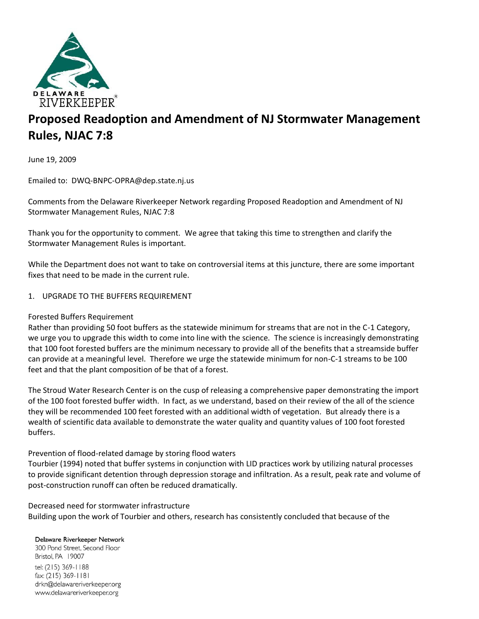

# **Proposed Readoption and Amendment of NJ Stormwater Management Rules, NJAC 7:8**

June 19, 2009

Emailed to: DWQ-BNPC-OPRA@dep.state.nj.us

Comments from the Delaware Riverkeeper Network regarding Proposed Readoption and Amendment of NJ Stormwater Management Rules, NJAC 7:8

Thank you for the opportunity to comment. We agree that taking this time to strengthen and clarify the Stormwater Management Rules is important.

While the Department does not want to take on controversial items at this juncture, there are some important fixes that need to be made in the current rule.

## 1. UPGRADE TO THE BUFFERS REQUIREMENT

## Forested Buffers Requirement

Rather than providing 50 foot buffers as the statewide minimum for streams that are not in the C-1 Category, we urge you to upgrade this width to come into line with the science. The science is increasingly demonstrating that 100 foot forested buffers are the minimum necessary to provide all of the benefits that a streamside buffer can provide at a meaningful level. Therefore we urge the statewide minimum for non-C-1 streams to be 100 feet and that the plant composition of be that of a forest.

The Stroud Water Research Center is on the cusp of releasing a comprehensive paper demonstrating the import of the 100 foot forested buffer width. In fact, as we understand, based on their review of the all of the science they will be recommended 100 feet forested with an additional width of vegetation. But already there is a wealth of scientific data available to demonstrate the water quality and quantity values of 100 foot forested buffers.

## Prevention of flood-related damage by storing flood waters

Tourbier (1994) noted that buffer systems in conjunction with LID practices work by utilizing natural processes to provide significant detention through depression storage and infiltration. As a result, peak rate and volume of post-construction runoff can often be reduced dramatically.

#### Decreased need for stormwater infrastructure

Building upon the work of Tourbier and others, research has consistently concluded that because of the

#### Delaware Riverkeeper Network

300 Pond Street, Second Floor Bristol, PA 19007 tel: (215) 369-1188 fax: (215) 369-1181 drkn@delawareriverkeeper.org www.delawareriverkeeper.org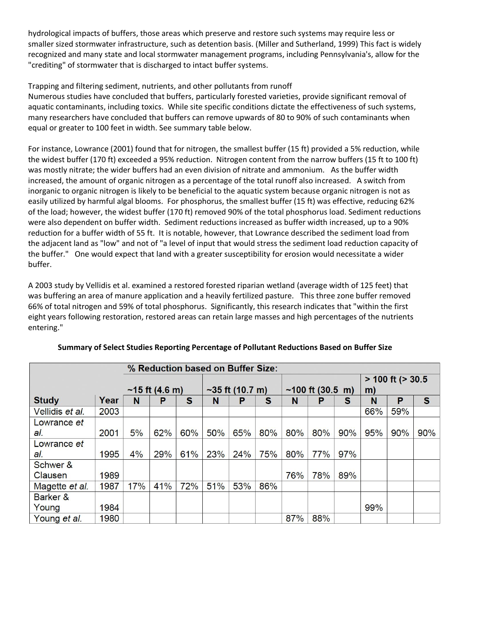hydrological impacts of buffers, those areas which preserve and restore such systems may require less or smaller sized stormwater infrastructure, such as detention basis. (Miller and Sutherland, 1999) This fact is widely recognized and many state and local stormwater management programs, including Pennsylvania's, allow for the "crediting" of stormwater that is discharged to intact buffer systems.

# Trapping and filtering sediment, nutrients, and other pollutants from runoff

Numerous studies have concluded that buffers, particularly forested varieties, provide significant removal of aquatic contaminants, including toxics. While site specific conditions dictate the effectiveness of such systems, many researchers have concluded that buffers can remove upwards of 80 to 90% of such contaminants when equal or greater to 100 feet in width. See summary table below.

For instance, Lowrance (2001) found that for nitrogen, the smallest buffer (15 ft) provided a 5% reduction, while the widest buffer (170 ft) exceeded a 95% reduction. Nitrogen content from the narrow buffers (15 ft to 100 ft) was mostly nitrate; the wider buffers had an even division of nitrate and ammonium. As the buffer width increased, the amount of organic nitrogen as a percentage of the total runoff also increased. A switch from inorganic to organic nitrogen is likely to be beneficial to the aquatic system because organic nitrogen is not as easily utilized by harmful algal blooms. For phosphorus, the smallest buffer (15 ft) was effective, reducing 62% of the load; however, the widest buffer (170 ft) removed 90% of the total phosphorus load. Sediment reductions were also dependent on buffer width. Sediment reductions increased as buffer width increased, up to a 90% reduction for a buffer width of 55 ft. It is notable, however, that Lowrance described the sediment load from the adjacent land as "low" and not of "a level of input that would stress the sediment load reduction capacity of the buffer." One would expect that land with a greater susceptibility for erosion would necessitate a wider buffer.

A 2003 study by Vellidis et al. examined a restored forested riparian wetland (average width of 125 feet) that was buffering an area of manure application and a heavily fertilized pasture. This three zone buffer removed 66% of total nitrogen and 59% of total phosphorus. Significantly, this research indicates that "within the first eight years following restoration, restored areas can retain large masses and high percentages of the nutrients entering."

| % Reduction based on Buffer Size: |      |                          |     |     |                   |     |     |                            |     |     |                         |     |              |
|-----------------------------------|------|--------------------------|-----|-----|-------------------|-----|-----|----------------------------|-----|-----|-------------------------|-----|--------------|
|                                   |      |                          |     |     |                   |     |     |                            |     |     | $> 100$ ft ( $> 30.5$ ) |     |              |
|                                   |      | ~15 ft $(4.6 \text{ m})$ |     |     | $~55$ ft (10.7 m) |     |     | ~100 ft $(30.5 \text{ m})$ |     |     | m)                      |     |              |
| <b>Study</b>                      | Year | N                        | Р   | S   | N                 | P   | S   | N                          | P   | S   | N                       | P   | $\mathbf{s}$ |
| Vellidis et al.                   | 2003 |                          |     |     |                   |     |     |                            |     |     | 66%                     | 59% |              |
| Lowrance et                       |      |                          |     |     |                   |     |     |                            |     |     |                         |     |              |
| al.                               | 2001 | 5%                       | 62% | 60% | 50%               | 65% | 80% | 80%                        | 80% | 90% | 95%                     | 90% | 90%          |
| Lowrance et                       |      |                          |     |     |                   |     |     |                            |     |     |                         |     |              |
| al.                               | 1995 | 4%                       | 29% | 61% | 23%               | 24% | 75% | 80%                        | 77% | 97% |                         |     |              |
| Schwer &                          |      |                          |     |     |                   |     |     |                            |     |     |                         |     |              |
| Clausen                           | 1989 |                          |     |     |                   |     |     | 76%                        | 78% | 89% |                         |     |              |
| Magette et al.                    | 1987 | 17%                      | 41% | 72% | 51%               | 53% | 86% |                            |     |     |                         |     |              |
| Barker &                          |      |                          |     |     |                   |     |     |                            |     |     |                         |     |              |
| Young                             | 1984 |                          |     |     |                   |     |     |                            |     |     | 99%                     |     |              |
| Young et al.                      | 1980 |                          |     |     |                   |     |     | 87%                        | 88% |     |                         |     |              |

## **Summary of Select Studies Reporting Percentage of Pollutant Reductions Based on Buffer Size**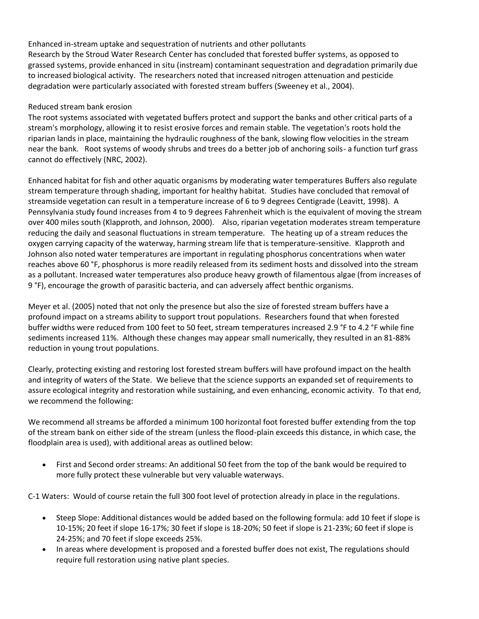Enhanced in-stream uptake and sequestration of nutrients and other pollutants Research by the Stroud Water Research Center has concluded that forested buffer systems, as opposed to grassed systems, provide enhanced in situ (instream) contaminant sequestration and degradation primarily due to increased biological activity. The researchers noted that increased nitrogen attenuation and pesticide degradation were particularly associated with forested stream buffers (Sweeney et al., 2004).

# Reduced stream bank erosion

The root systems associated with vegetated buffers protect and support the banks and other critical parts of a stream's morphology, allowing it to resist erosive forces and remain stable. The vegetation's roots hold the riparian lands in place, maintaining the hydraulic roughness of the bank, slowing flow velocities in the stream near the bank. Root systems of woody shrubs and trees do a better job of anchoring soils- a function turf grass cannot do effectively (NRC, 2002).

Enhanced habitat for fish and other aquatic organisms by moderating water temperatures Buffers also regulate stream temperature through shading, important for healthy habitat. Studies have concluded that removal of streamside vegetation can result in a temperature increase of 6 to 9 degrees Centigrade (Leavitt, 1998). A Pennsylvania study found increases from 4 to 9 degrees Fahrenheit which is the equivalent of moving the stream over 400 miles south (Klapproth, and Johnson, 2000). Also, riparian vegetation moderates stream temperature reducing the daily and seasonal fluctuations in stream temperature. The heating up of a stream reduces the oxygen carrying capacity of the waterway, harming stream life that is temperature-sensitive. Klapproth and Johnson also noted water temperatures are important in regulating phosphorus concentrations when water reaches above 60 °F, phosphorus is more readily released from its sediment hosts and dissolved into the stream as a pollutant. Increased water temperatures also produce heavy growth of filamentous algae (from increases of 9 °F), encourage the growth of parasitic bacteria, and can adversely affect benthic organisms.

Meyer et al. (2005) noted that not only the presence but also the size of forested stream buffers have a profound impact on a streams ability to support trout populations. Researchers found that when forested buffer widths were reduced from 100 feet to 50 feet, stream temperatures increased 2.9 °F to 4.2 °F while fine sediments increased 11%. Although these changes may appear small numerically, they resulted in an 81-88% reduction in young trout populations.

Clearly, protecting existing and restoring lost forested stream buffers will have profound impact on the health and integrity of waters of the State. We believe that the science supports an expanded set of requirements to assure ecological integrity and restoration while sustaining, and even enhancing, economic activity. To that end, we recommend the following:

We recommend all streams be afforded a minimum 100 horizontal foot forested buffer extending from the top of the stream bank on either side of the stream (unless the flood-plain exceeds this distance, in which case, the floodplain area is used), with additional areas as outlined below:

 First and Second order streams: An additional 50 feet from the top of the bank would be required to more fully protect these vulnerable but very valuable waterways.

C-1 Waters: Would of course retain the full 300 foot level of protection already in place in the regulations.

- Steep Slope: Additional distances would be added based on the following formula: add 10 feet if slope is 10-15%; 20 feet if slope 16-17%; 30 feet if slope is 18-20%; 50 feet if slope is 21-23%; 60 feet if slope is 24-25%; and 70 feet if slope exceeds 25%.
- In areas where development is proposed and a forested buffer does not exist, The regulations should require full restoration using native plant species.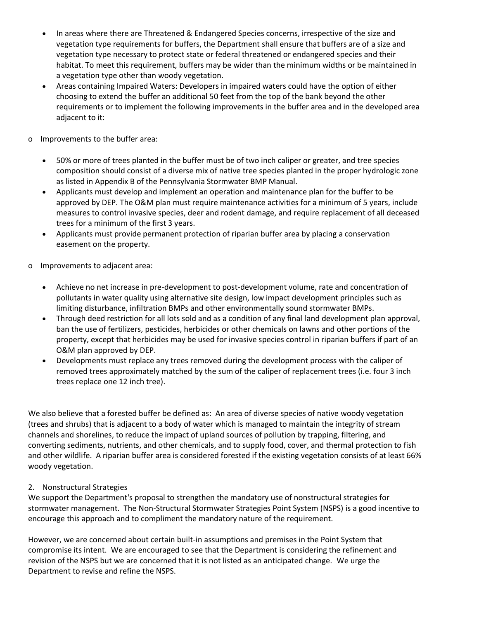- In areas where there are Threatened & Endangered Species concerns, irrespective of the size and vegetation type requirements for buffers, the Department shall ensure that buffers are of a size and vegetation type necessary to protect state or federal threatened or endangered species and their habitat. To meet this requirement, buffers may be wider than the minimum widths or be maintained in a vegetation type other than woody vegetation.
- Areas containing Impaired Waters: Developers in impaired waters could have the option of either choosing to extend the buffer an additional 50 feet from the top of the bank beyond the other requirements or to implement the following improvements in the buffer area and in the developed area adjacent to it:
- o Improvements to the buffer area:
	- 50% or more of trees planted in the buffer must be of two inch caliper or greater, and tree species composition should consist of a diverse mix of native tree species planted in the proper hydrologic zone as listed in Appendix B of the Pennsylvania Stormwater BMP Manual.
	- Applicants must develop and implement an operation and maintenance plan for the buffer to be approved by DEP. The O&M plan must require maintenance activities for a minimum of 5 years, include measures to control invasive species, deer and rodent damage, and require replacement of all deceased trees for a minimum of the first 3 years.
	- Applicants must provide permanent protection of riparian buffer area by placing a conservation easement on the property.
- o Improvements to adjacent area:
	- Achieve no net increase in pre-development to post-development volume, rate and concentration of pollutants in water quality using alternative site design, low impact development principles such as limiting disturbance, infiltration BMPs and other environmentally sound stormwater BMPs.
	- Through deed restriction for all lots sold and as a condition of any final land development plan approval, ban the use of fertilizers, pesticides, herbicides or other chemicals on lawns and other portions of the property, except that herbicides may be used for invasive species control in riparian buffers if part of an O&M plan approved by DEP.
	- Developments must replace any trees removed during the development process with the caliper of removed trees approximately matched by the sum of the caliper of replacement trees (i.e. four 3 inch trees replace one 12 inch tree).

We also believe that a forested buffer be defined as: An area of diverse species of native woody vegetation (trees and shrubs) that is adjacent to a body of water which is managed to maintain the integrity of stream channels and shorelines, to reduce the impact of upland sources of pollution by trapping, filtering, and converting sediments, nutrients, and other chemicals, and to supply food, cover, and thermal protection to fish and other wildlife. A riparian buffer area is considered forested if the existing vegetation consists of at least 66% woody vegetation.

# 2. Nonstructural Strategies

We support the Department's proposal to strengthen the mandatory use of nonstructural strategies for stormwater management. The Non-Structural Stormwater Strategies Point System (NSPS) is a good incentive to encourage this approach and to compliment the mandatory nature of the requirement.

However, we are concerned about certain built-in assumptions and premises in the Point System that compromise its intent. We are encouraged to see that the Department is considering the refinement and revision of the NSPS but we are concerned that it is not listed as an anticipated change. We urge the Department to revise and refine the NSPS.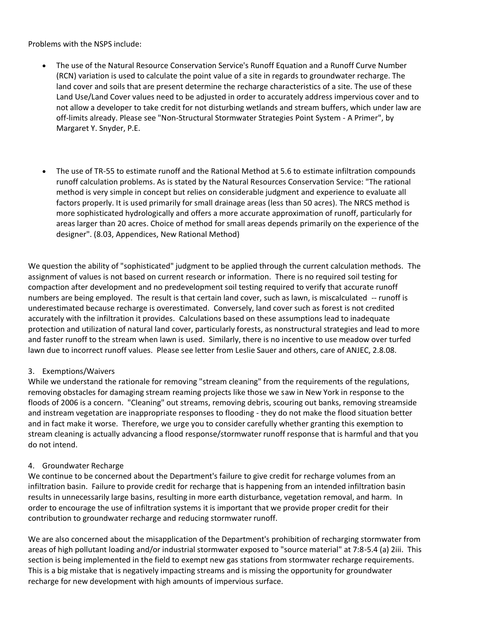Problems with the NSPS include:

- The use of the Natural Resource Conservation Service's Runoff Equation and a Runoff Curve Number (RCN) variation is used to calculate the point value of a site in regards to groundwater recharge. The land cover and soils that are present determine the recharge characteristics of a site. The use of these Land Use/Land Cover values need to be adjusted in order to accurately address impervious cover and to not allow a developer to take credit for not disturbing wetlands and stream buffers, which under law are off-limits already. Please see "Non-Structural Stormwater Strategies Point System - A Primer", by Margaret Y. Snyder, P.E.
- The use of TR-55 to estimate runoff and the Rational Method at 5.6 to estimate infiltration compounds runoff calculation problems. As is stated by the Natural Resources Conservation Service: "The rational method is very simple in concept but relies on considerable judgment and experience to evaluate all factors properly. It is used primarily for small drainage areas (less than 50 acres). The NRCS method is more sophisticated hydrologically and offers a more accurate approximation of runoff, particularly for areas larger than 20 acres. Choice of method for small areas depends primarily on the experience of the designer". (8.03, Appendices, New Rational Method)

We question the ability of "sophisticated" judgment to be applied through the current calculation methods. The assignment of values is not based on current research or information. There is no required soil testing for compaction after development and no predevelopment soil testing required to verify that accurate runoff numbers are being employed. The result is that certain land cover, such as lawn, is miscalculated -- runoff is underestimated because recharge is overestimated. Conversely, land cover such as forest is not credited accurately with the infiltration it provides. Calculations based on these assumptions lead to inadequate protection and utilization of natural land cover, particularly forests, as nonstructural strategies and lead to more and faster runoff to the stream when lawn is used. Similarly, there is no incentive to use meadow over turfed lawn due to incorrect runoff values. Please see letter from Leslie Sauer and others, care of ANJEC, 2.8.08.

## 3. Exemptions/Waivers

While we understand the rationale for removing "stream cleaning" from the requirements of the regulations, removing obstacles for damaging stream reaming projects like those we saw in New York in response to the floods of 2006 is a concern. "Cleaning" out streams, removing debris, scouring out banks, removing streamside and instream vegetation are inappropriate responses to flooding - they do not make the flood situation better and in fact make it worse. Therefore, we urge you to consider carefully whether granting this exemption to stream cleaning is actually advancing a flood response/stormwater runoff response that is harmful and that you do not intend.

## 4. Groundwater Recharge

We continue to be concerned about the Department's failure to give credit for recharge volumes from an infiltration basin. Failure to provide credit for recharge that is happening from an intended infiltration basin results in unnecessarily large basins, resulting in more earth disturbance, vegetation removal, and harm. In order to encourage the use of infiltration systems it is important that we provide proper credit for their contribution to groundwater recharge and reducing stormwater runoff.

We are also concerned about the misapplication of the Department's prohibition of recharging stormwater from areas of high pollutant loading and/or industrial stormwater exposed to "source material" at 7:8-5.4 (a) 2iii. This section is being implemented in the field to exempt new gas stations from stormwater recharge requirements. This is a big mistake that is negatively impacting streams and is missing the opportunity for groundwater recharge for new development with high amounts of impervious surface.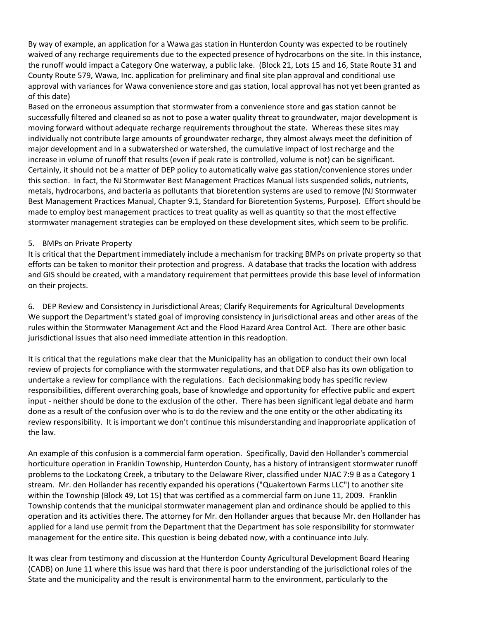By way of example, an application for a Wawa gas station in Hunterdon County was expected to be routinely waived of any recharge requirements due to the expected presence of hydrocarbons on the site. In this instance, the runoff would impact a Category One waterway, a public lake. (Block 21, Lots 15 and 16, State Route 31 and County Route 579, Wawa, Inc. application for preliminary and final site plan approval and conditional use approval with variances for Wawa convenience store and gas station, local approval has not yet been granted as of this date)

Based on the erroneous assumption that stormwater from a convenience store and gas station cannot be successfully filtered and cleaned so as not to pose a water quality threat to groundwater, major development is moving forward without adequate recharge requirements throughout the state. Whereas these sites may individually not contribute large amounts of groundwater recharge, they almost always meet the definition of major development and in a subwatershed or watershed, the cumulative impact of lost recharge and the increase in volume of runoff that results (even if peak rate is controlled, volume is not) can be significant. Certainly, it should not be a matter of DEP policy to automatically waive gas station/convenience stores under this section. In fact, the NJ Stormwater Best Management Practices Manual lists suspended solids, nutrients, metals, hydrocarbons, and bacteria as pollutants that bioretention systems are used to remove (NJ Stormwater Best Management Practices Manual, Chapter 9.1, Standard for Bioretention Systems, Purpose). Effort should be made to employ best management practices to treat quality as well as quantity so that the most effective stormwater management strategies can be employed on these development sites, which seem to be prolific.

## 5. BMPs on Private Property

It is critical that the Department immediately include a mechanism for tracking BMPs on private property so that efforts can be taken to monitor their protection and progress. A database that tracks the location with address and GIS should be created, with a mandatory requirement that permittees provide this base level of information on their projects.

6. DEP Review and Consistency in Jurisdictional Areas; Clarify Requirements for Agricultural Developments We support the Department's stated goal of improving consistency in jurisdictional areas and other areas of the rules within the Stormwater Management Act and the Flood Hazard Area Control Act. There are other basic jurisdictional issues that also need immediate attention in this readoption.

It is critical that the regulations make clear that the Municipality has an obligation to conduct their own local review of projects for compliance with the stormwater regulations, and that DEP also has its own obligation to undertake a review for compliance with the regulations. Each decisionmaking body has specific review responsibilities, different overarching goals, base of knowledge and opportunity for effective public and expert input - neither should be done to the exclusion of the other. There has been significant legal debate and harm done as a result of the confusion over who is to do the review and the one entity or the other abdicating its review responsibility. It is important we don't continue this misunderstanding and inappropriate application of the law.

An example of this confusion is a commercial farm operation. Specifically, David den Hollander's commercial horticulture operation in Franklin Township, Hunterdon County, has a history of intransigent stormwater runoff problems to the Lockatong Creek, a tributary to the Delaware River, classified under NJAC 7:9 B as a Category 1 stream. Mr. den Hollander has recently expanded his operations ("Quakertown Farms LLC") to another site within the Township (Block 49, Lot 15) that was certified as a commercial farm on June 11, 2009. Franklin Township contends that the municipal stormwater management plan and ordinance should be applied to this operation and its activities there. The attorney for Mr. den Hollander argues that because Mr. den Hollander has applied for a land use permit from the Department that the Department has sole responsibility for stormwater management for the entire site. This question is being debated now, with a continuance into July.

It was clear from testimony and discussion at the Hunterdon County Agricultural Development Board Hearing (CADB) on June 11 where this issue was hard that there is poor understanding of the jurisdictional roles of the State and the municipality and the result is environmental harm to the environment, particularly to the